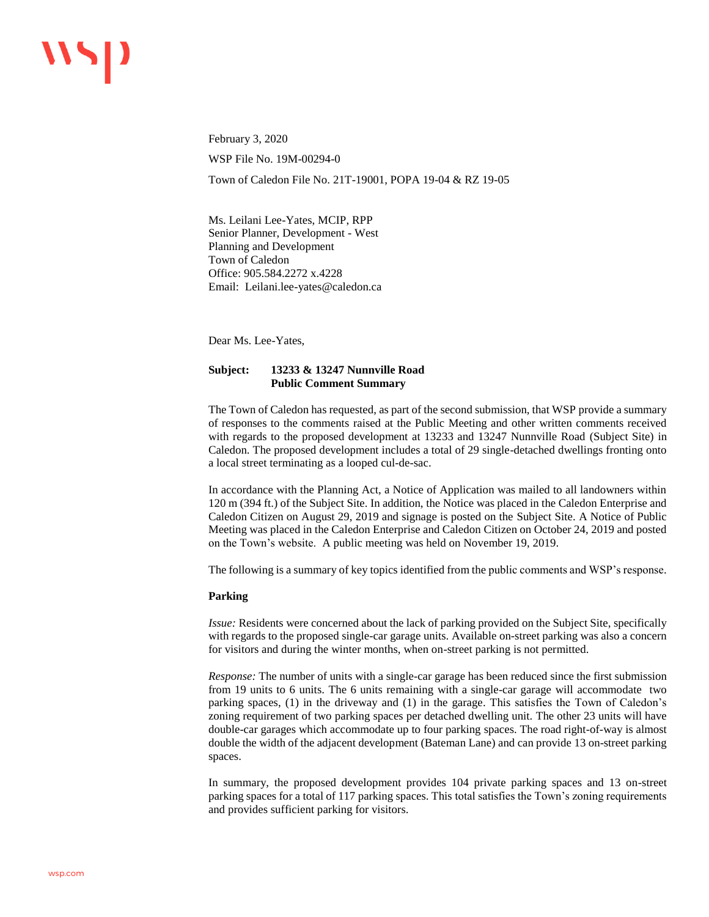February 3, 2020 WSP File No. 19M-00294-0 Town of Caledon File No. 21T-19001, POPA 19-04 & RZ 19-05

Ms. Leilani Lee-Yates, MCIP, RPP Senior Planner, Development - West Planning and Development Town of Caledon Office: 905.584.2272 x.4228 Email: Leilani.lee-yates@caledon.ca

Dear Ms. Lee-Yates,

# **Subject: 13233 & 13247 Nunnville Road Public Comment Summary**

The Town of Caledon has requested, as part of the second submission, that WSP provide a summary of responses to the comments raised at the Public Meeting and other written comments received with regards to the proposed development at 13233 and 13247 Nunnville Road (Subject Site) in Caledon. The proposed development includes a total of 29 single-detached dwellings fronting onto a local street terminating as a looped cul-de-sac.

In accordance with the Planning Act, a Notice of Application was mailed to all landowners within 120 m (394 ft.) of the Subject Site. In addition, the Notice was placed in the Caledon Enterprise and Caledon Citizen on August 29, 2019 and signage is posted on the Subject Site. A Notice of Public Meeting was placed in the Caledon Enterprise and Caledon Citizen on October 24, 2019 and posted on the Town's website. A public meeting was held on November 19, 2019.

The following is a summary of key topics identified from the public comments and WSP's response.

## **Parking**

*Issue:* Residents were concerned about the lack of parking provided on the Subject Site, specifically with regards to the proposed single-car garage units. Available on-street parking was also a concern for visitors and during the winter months, when on-street parking is not permitted.

*Response:* The number of units with a single-car garage has been reduced since the first submission from 19 units to 6 units. The 6 units remaining with a single-car garage will accommodate two parking spaces, (1) in the driveway and (1) in the garage. This satisfies the Town of Caledon's zoning requirement of two parking spaces per detached dwelling unit. The other 23 units will have double-car garages which accommodate up to four parking spaces. The road right-of-way is almost double the width of the adjacent development (Bateman Lane) and can provide 13 on-street parking spaces.

In summary, the proposed development provides 104 private parking spaces and 13 on-street parking spaces for a total of 117 parking spaces. This total satisfies the Town's zoning requirements and provides sufficient parking for visitors.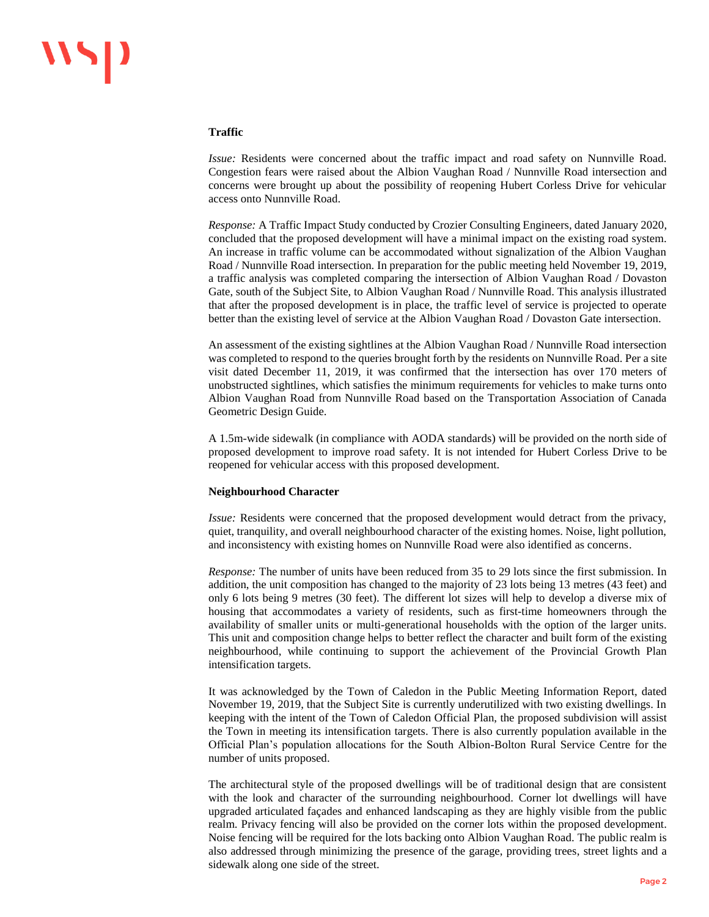### **Traffic**

*Issue:* Residents were concerned about the traffic impact and road safety on Nunnville Road. Congestion fears were raised about the Albion Vaughan Road / Nunnville Road intersection and concerns were brought up about the possibility of reopening Hubert Corless Drive for vehicular access onto Nunnville Road.

*Response:* A Traffic Impact Study conducted by Crozier Consulting Engineers, dated January 2020, concluded that the proposed development will have a minimal impact on the existing road system. An increase in traffic volume can be accommodated without signalization of the Albion Vaughan Road / Nunnville Road intersection. In preparation for the public meeting held November 19, 2019, a traffic analysis was completed comparing the intersection of Albion Vaughan Road / Dovaston Gate, south of the Subject Site, to Albion Vaughan Road / Nunnville Road. This analysis illustrated that after the proposed development is in place, the traffic level of service is projected to operate better than the existing level of service at the Albion Vaughan Road / Dovaston Gate intersection.

An assessment of the existing sightlines at the Albion Vaughan Road / Nunnville Road intersection was completed to respond to the queries brought forth by the residents on Nunnville Road. Per a site visit dated December 11, 2019, it was confirmed that the intersection has over 170 meters of unobstructed sightlines, which satisfies the minimum requirements for vehicles to make turns onto Albion Vaughan Road from Nunnville Road based on the Transportation Association of Canada Geometric Design Guide.

A 1.5m-wide sidewalk (in compliance with AODA standards) will be provided on the north side of proposed development to improve road safety. It is not intended for Hubert Corless Drive to be reopened for vehicular access with this proposed development.

#### **Neighbourhood Character**

*Issue:* Residents were concerned that the proposed development would detract from the privacy, quiet, tranquility, and overall neighbourhood character of the existing homes. Noise, light pollution, and inconsistency with existing homes on Nunnville Road were also identified as concerns.

*Response:* The number of units have been reduced from 35 to 29 lots since the first submission. In addition, the unit composition has changed to the majority of 23 lots being 13 metres (43 feet) and only 6 lots being 9 metres (30 feet). The different lot sizes will help to develop a diverse mix of housing that accommodates a variety of residents, such as first-time homeowners through the availability of smaller units or multi-generational households with the option of the larger units. This unit and composition change helps to better reflect the character and built form of the existing neighbourhood, while continuing to support the achievement of the Provincial Growth Plan intensification targets.

It was acknowledged by the Town of Caledon in the Public Meeting Information Report, dated November 19, 2019, that the Subject Site is currently underutilized with two existing dwellings. In keeping with the intent of the Town of Caledon Official Plan, the proposed subdivision will assist the Town in meeting its intensification targets. There is also currently population available in the Official Plan's population allocations for the South Albion-Bolton Rural Service Centre for the number of units proposed.

The architectural style of the proposed dwellings will be of traditional design that are consistent with the look and character of the surrounding neighbourhood. Corner lot dwellings will have upgraded articulated façades and enhanced landscaping as they are highly visible from the public realm. Privacy fencing will also be provided on the corner lots within the proposed development. Noise fencing will be required for the lots backing onto Albion Vaughan Road. The public realm is also addressed through minimizing the presence of the garage, providing trees, street lights and a sidewalk along one side of the street.